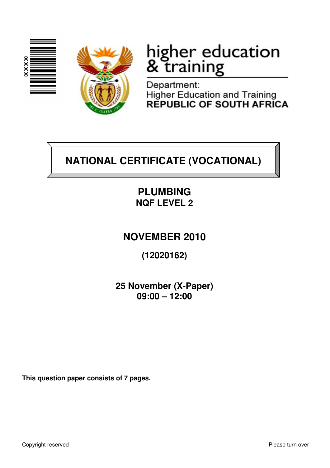



# higher education<br>& training

Department: Higher Education and Training<br>REPUBLIC OF SOUTH AFRICA

## **NATIONAL CERTIFICATE (VOCATIONAL)**

## **PLUMBING NQF LEVEL 2**

### **NOVEMBER 2010**

**(12020162)** 

**25 November (X-Paper) 09:00 – 12:00**

**This question paper consists of 7 pages.**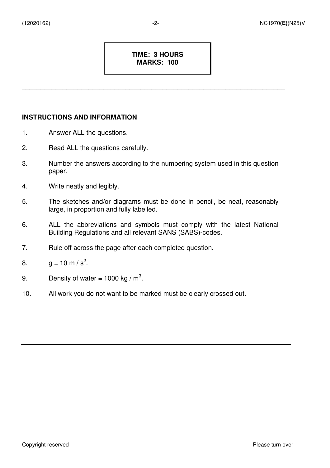#### **TIME: 3 HOURS MARKS: 100**

\_\_\_\_\_\_\_\_\_\_\_\_\_\_\_\_\_\_\_\_\_\_\_\_\_\_\_\_\_\_\_\_\_\_\_\_\_\_\_\_\_\_\_\_\_\_\_\_\_\_\_\_\_\_\_\_\_\_\_\_\_\_\_\_\_\_\_\_\_\_\_

#### **INSTRUCTIONS AND INFORMATION**

- 1. Answer ALL the questions.
- 2. Read ALL the questions carefully.
- 3. Number the answers according to the numbering system used in this question paper.
- 4. Write neatly and legibly.
- 5. The sketches and/or diagrams must be done in pencil, be neat, reasonably large, in proportion and fully labelled.
- 6. ALL the abbreviations and symbols must comply with the latest National Building Regulations and all relevant SANS (SABS)-codes.
- 7. Rule off across the page after each completed question.
- 8.  $g = 10 \text{ m/s}^2$ .
- 9. Density of water = 1000 kg /  $m^3$ .
- 10. All work you do not want to be marked must be clearly crossed out.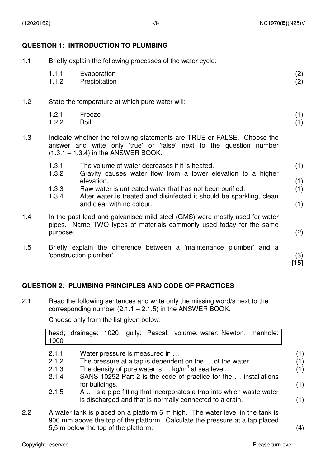#### **QUESTION 1: INTRODUCTION TO PLUMBING**

| 1.1 | Briefly explain the following processes of the water cycle: |                                                                                                                                                                                         |               |  |  |  |  |
|-----|-------------------------------------------------------------|-----------------------------------------------------------------------------------------------------------------------------------------------------------------------------------------|---------------|--|--|--|--|
|     | 1.1.1<br>1.1.2                                              | Evaporation<br>Precipitation                                                                                                                                                            | (2)<br>(2)    |  |  |  |  |
| 1.2 |                                                             | State the temperature at which pure water will:                                                                                                                                         |               |  |  |  |  |
|     | 1.2.1<br>1.2.2                                              | Freeze<br><b>Boil</b>                                                                                                                                                                   | (1)<br>(1)    |  |  |  |  |
| 1.3 |                                                             | Indicate whether the following statements are TRUE or FALSE. Choose the<br>answer and write only 'true' or 'false' next to the question number<br>$(1.3.1 - 1.3.4)$ in the ANSWER BOOK. |               |  |  |  |  |
|     | 1.3.1<br>1.3.2                                              | The volume of water decreases if it is heated.<br>Gravity causes water flow from a lower elevation to a higher                                                                          | (1)           |  |  |  |  |
|     |                                                             | elevation.                                                                                                                                                                              | (1)<br>(1)    |  |  |  |  |
|     | 1.3.3<br>1.3.4                                              | Raw water is untreated water that has not been purified.<br>After water is treated and disinfected it should be sparkling, clean                                                        |               |  |  |  |  |
|     | and clear with no colour.                                   |                                                                                                                                                                                         |               |  |  |  |  |
| 1.4 | purpose.                                                    | In the past lead and galvanised mild steel (GMS) were mostly used for water<br>pipes. Name TWO types of materials commonly used today for the same                                      | (2)           |  |  |  |  |
|     |                                                             |                                                                                                                                                                                         |               |  |  |  |  |
| 1.5 |                                                             | Briefly explain the difference between a 'maintenance plumber' and a<br>'construction plumber'.                                                                                         | (3)<br>$[15]$ |  |  |  |  |

#### **QUESTION 2: PLUMBING PRINCIPLES AND CODE OF PRACTICES**

2.1 Read the following sentences and write only the missing word/s next to the corresponding number  $(2.1.1 - 2.1.5)$  in the ANSWER BOOK.

Choose only from the list given below:

|     | 1000                                                                                                                                                                                                  |                |  |  |                               | head; drainage; 1020; gully; Pascal; volume; water; Newton; manhole;                                                             |  |     |     |
|-----|-------------------------------------------------------------------------------------------------------------------------------------------------------------------------------------------------------|----------------|--|--|-------------------------------|----------------------------------------------------------------------------------------------------------------------------------|--|-----|-----|
|     | 2.1.1                                                                                                                                                                                                 |                |  |  | Water pressure is measured in |                                                                                                                                  |  |     | (1) |
|     | 2.1.2                                                                                                                                                                                                 |                |  |  |                               | The pressure at a tap is dependent on the  of the water.                                                                         |  |     | (1) |
|     | 2.1.3                                                                                                                                                                                                 |                |  |  |                               | The density of pure water is $kg/m3$ at sea level.                                                                               |  |     | (1) |
|     | 2.1.4                                                                                                                                                                                                 |                |  |  |                               | SANS 10252 Part 2 is the code of practice for the  installations                                                                 |  |     |     |
|     |                                                                                                                                                                                                       | for buildings. |  |  |                               |                                                                                                                                  |  |     | (1) |
|     | 2.1.5                                                                                                                                                                                                 |                |  |  |                               | A  is a pipe fitting that incorporates a trap into which waste water<br>is discharged and that is normally connected to a drain. |  |     | (1) |
| 2.2 | A water tank is placed on a platform 6 m high. The water level in the tank is<br>900 mm above the top of the platform. Calculate the pressure at a tap placed<br>5,5 m below the top of the platform. |                |  |  |                               |                                                                                                                                  |  | (4) |     |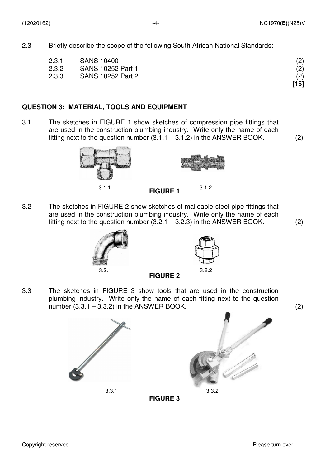**[15]** 

2.3 Briefly describe the scope of the following South African National Standards:

| 2.3.1 | <b>SANS 10400</b> | (2) |
|-------|-------------------|-----|
| 2.3.2 | SANS 10252 Part 1 | (2) |

2.3.3 SANS 10252 Part 2 (2)

#### **QUESTION 3: MATERIAL, TOOLS AND EQUIPMENT**

3.1 The sketches in FIGURE 1 show sketches of compression pipe fittings that are used in the construction plumbing industry. Write only the name of each fitting next to the question number  $(3.1.1 - 3.1.2)$  in the ANSWER BOOK.  $(2)$ 





**FIGURE 1** 3.1.2

3.2 The sketches in FIGURE 2 show sketches of malleable steel pipe fittings that are used in the construction plumbing industry. Write only the name of each fitting next to the question number  $(3.2.1 - 3.2.3)$  in the ANSWER BOOK.  $(2)$ 





**FIGURE 2** 

**FIGURE 3** 

3.3 The sketches in FIGURE 3 show tools that are used in the construction plumbing industry. Write only the name of each fitting next to the question number  $(3.3.1 - 3.3.2)$  in the ANSWER BOOK.  $(2)$ 



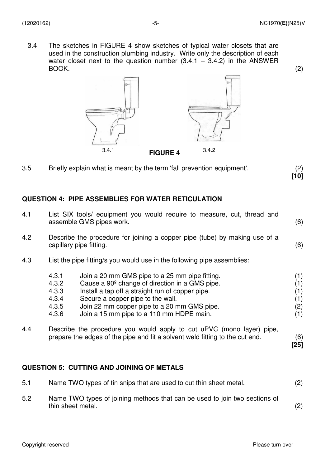3.4 The sketches in FIGURE 4 show sketches of typical water closets that are used in the construction plumbing industry. Write only the description of each water closet next to the question number  $(3.4.1 - 3.4.2)$  in the ANSWER BOOK. BOOK. (2)



3.5 Briefly explain what is meant by the term 'fall prevention equipment'. (2) **[10]** 

#### **QUESTION 4: PIPE ASSEMBLIES FOR WATER RETICULATION**

| 4.1 |                                                                                                       | List SIX tools/ equipment you would require to measure, cut, thread and<br>assemble GMS pipes work.                                                                                                                                                                                              | (6)                                    |  |  |  |  |  |
|-----|-------------------------------------------------------------------------------------------------------|--------------------------------------------------------------------------------------------------------------------------------------------------------------------------------------------------------------------------------------------------------------------------------------------------|----------------------------------------|--|--|--|--|--|
| 4.2 | Describe the procedure for joining a copper pipe (tube) by making use of a<br>capillary pipe fitting. |                                                                                                                                                                                                                                                                                                  |                                        |  |  |  |  |  |
| 4.3 |                                                                                                       | List the pipe fitting/s you would use in the following pipe assemblies:                                                                                                                                                                                                                          |                                        |  |  |  |  |  |
|     | 4.3.1<br>4.3.2<br>4.3.3<br>4.3.4<br>4.3.5<br>4.3.6                                                    | Join a 20 mm GMS pipe to a 25 mm pipe fitting.<br>Cause a 90 <sup>°</sup> change of direction in a GMS pipe.<br>Install a tap off a straight run of copper pipe.<br>Secure a copper pipe to the wall.<br>Join 22 mm copper pipe to a 20 mm GMS pipe.<br>Join a 15 mm pipe to a 110 mm HDPE main. | (1)<br>(1)<br>(1)<br>(1)<br>(2)<br>(1) |  |  |  |  |  |
| 4.4 |                                                                                                       | Describe the procedure you would apply to cut uPVC (mono layer) pipe,<br>prepare the edges of the pipe and fit a solvent weld fitting to the cut end.                                                                                                                                            | (6)<br>$[25]$                          |  |  |  |  |  |

#### **QUESTION 5: CUTTING AND JOINING OF METALS**

| 5.1 | Name TWO types of tin snips that are used to cut thin sheet metal.                              | (2) |
|-----|-------------------------------------------------------------------------------------------------|-----|
| 5.2 | Name TWO types of joining methods that can be used to join two sections of<br>thin sheet metal. | (2) |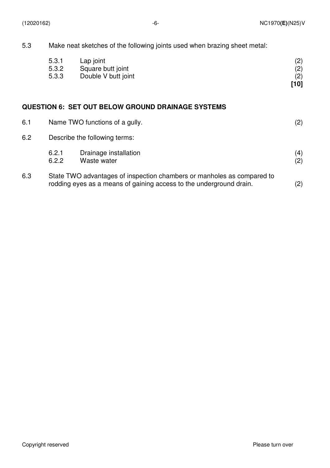5.3 Make neat sketches of the following joints used when brazing sheet metal:

|     | 5.3.1<br>5.3.2<br>5.3.3 | Lap joint<br>Square butt joint<br>Double V butt joint    | (2)<br>(2)<br>(2)<br>[10] |
|-----|-------------------------|----------------------------------------------------------|---------------------------|
|     |                         | <b>QUESTION 6: SET OUT BELOW GROUND DRAINAGE SYSTEMS</b> |                           |
| 6.1 |                         | Name TWO functions of a gully.                           | (2)                       |

#### 6.2 Describe the following terms:

|     | 6.2.1 | Drainage installation                                                                                                                         | (4) |
|-----|-------|-----------------------------------------------------------------------------------------------------------------------------------------------|-----|
|     | 6.2.2 | Waste water                                                                                                                                   | (2) |
| 6.3 |       | State TWO advantages of inspection chambers or manholes as compared to<br>rodding eyes as a means of gaining access to the underground drain. | (2) |